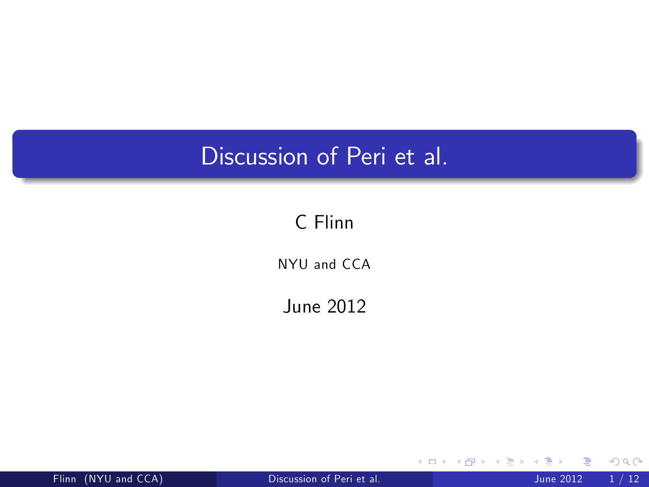# Discussion of Peri et al.

### C Flinn

NYU and CCA

June 2012

Flinn (NYU and CCA) [Discussion of Peri et al.](#page-12-0) June 2012 1 / 12

 $\leftarrow$   $\Box$ 

<span id="page-0-0"></span>э

×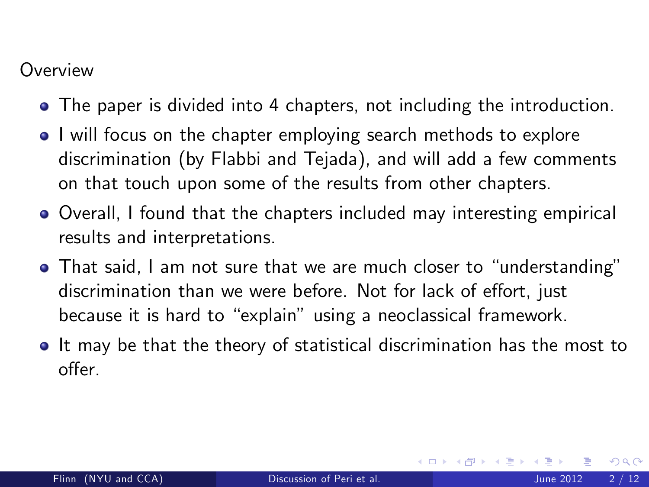#### **Overview**

- The paper is divided into 4 chapters, not including the introduction.
- I will focus on the chapter employing search methods to explore discrimination (by Flabbi and Tejada), and will add a few comments on that touch upon some of the results from other chapters.
- Overall, I found that the chapters included may interesting empirical results and interpretations.
- That said, I am not sure that we are much closer to "understanding" discrimination than we were before. Not for lack of effort, just because it is hard to "explain" using a neoclassical framework.
- It may be that the theory of statistical discrimination has the most to offer.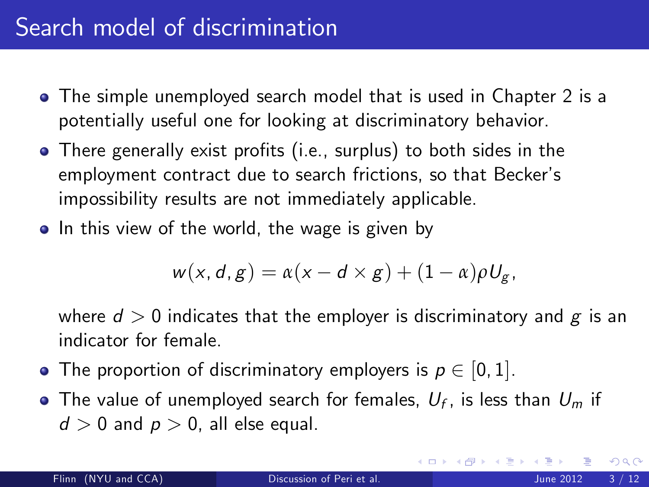- The simple unemployed search model that is used in Chapter 2 is a potentially useful one for looking at discriminatory behavior.
- There generally exist profits (i.e., surplus) to both sides in the employment contract due to search frictions, so that Becker's impossibility results are not immediately applicable.
- In this view of the world, the wage is given by

$$
w(x, d, g) = \alpha(x - d \times g) + (1 - \alpha)\rho U_g,
$$

where  $d > 0$  indicates that the employer is discriminatory and g is an indicator for female.

- The proportion of discriminatory employers is  $p \in [0, 1]$ .
- The value of unemployed search for females,  $\mathit{U}_{f}$ , is less than  $\mathit{U}_{m}$  if  $d > 0$  and  $p > 0$ , all else equal.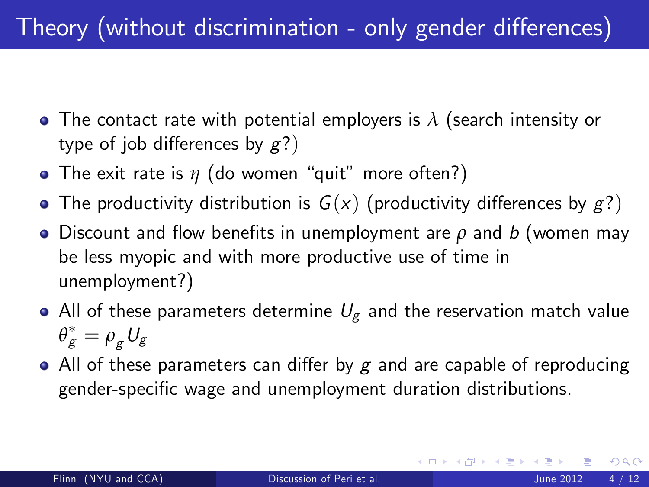# Theory (without discrimination - only gender differences)

- The contact rate with potential employers is *λ* (search intensity or type of job differences by  $g$ ?)
- The exit rate is  $\eta$  (do women "quit" more often?)
- The productivity distribution is  $G(x)$  (productivity differences by  $g$ ?)
- $\bullet$  Discount and flow benefits in unemployment are  $\rho$  and b (women may be less myopic and with more productive use of time in unemployment?)
- All of these parameters determine  $U_{\sigma}$  and the reservation match value  $\theta_{\mathcal{\mathcal{g}}}^{*}=\rho_{\mathcal{\mathcal{g}}}^{\vphantom{*}}U_{\mathcal{\mathcal{g}}}$
- All of these parameters can differ by g and are capable of reproducing gender-specific wage and unemployment duration distributions.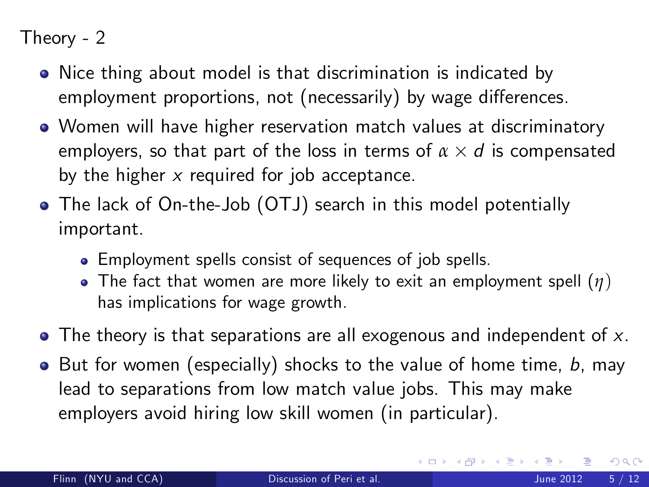Theory - 2

- Nice thing about model is that discrimination is indicated by employment proportions, not (necessarily) by wage differences.
- Women will have higher reservation match values at discriminatory employers, so that part of the loss in terms of  $\alpha \times d$  is compensated by the higher  $x$  required for job acceptance.
- The lack of On-the-Job (OTJ) search in this model potentially important.
	- Employment spells consist of sequences of job spells.
	- The fact that women are more likely to exit an employment spell (*η*) has implications for wage growth.
- $\bullet$  The theory is that separations are all exogenous and independent of x.
- $\bullet$  But for women (especially) shocks to the value of home time, b, may lead to separations from low match value jobs. This may make employers avoid hiring low skill women (in particular).

4 D F

<span id="page-4-0"></span> $QQ$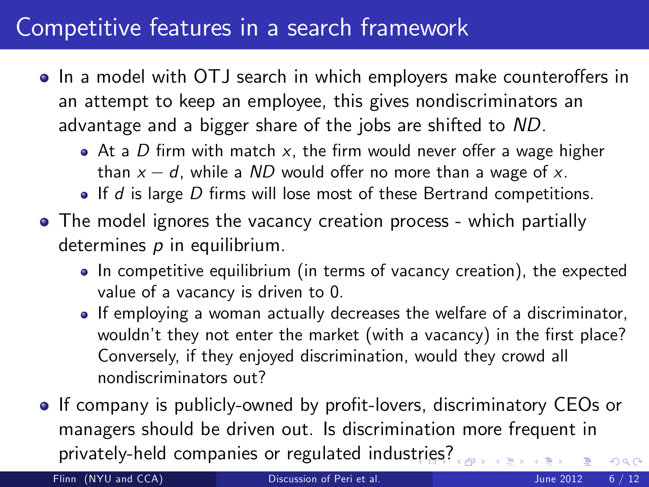## Competitive features in a search framework

- In a model with OTJ search in which employers make counteroffers in an attempt to keep an employee, this gives nondiscriminators an advantage and a bigger share of the jobs are shifted to ND.
	- $\bullet$  At a D firm with match x, the firm would never offer a wage higher than  $x - d$ , while a ND would offer no more than a wage of x.
	- $\bullet$  If d is large D firms will lose most of these Bertrand competitions.
- The model ignores the vacancy creation process which partially determines  $p$  in equilibrium.
	- In competitive equilibrium (in terms of vacancy creation), the expected value of a vacancy is driven to 0.
	- If employing a woman actually decreases the welfare of a discriminator, wouldn't they not enter the market (with a vacancy) in the first place? Conversely, if they enjoyed discrimination, would they crowd all nondiscriminators out?
- If company is publicly-owned by profit-lovers, discriminatory CEOs or managers should be driven out. Is discrimination more frequent in privately-held companies or regulated indus[tri](#page-4-0)e[s?](#page-6-0)  $290$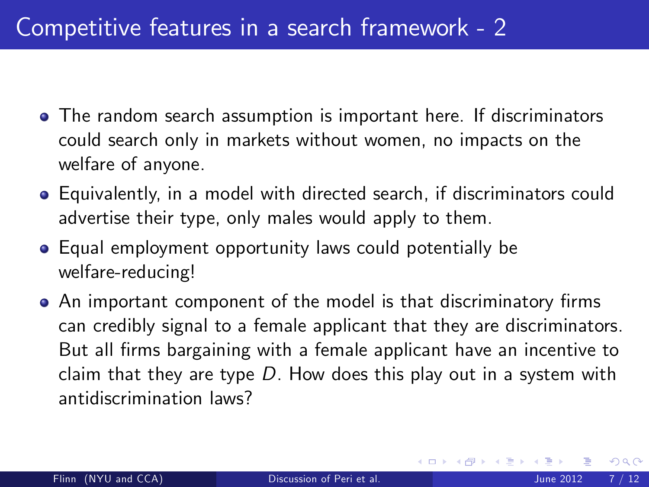- The random search assumption is important here. If discriminators could search only in markets without women, no impacts on the welfare of anyone.
- Equivalently, in a model with directed search, if discriminators could advertise their type, only males would apply to them.
- Equal employment opportunity laws could potentially be welfare-reducing!
- <span id="page-6-0"></span>• An important component of the model is that discriminatory firms can credibly signal to a female applicant that they are discriminators. But all firms bargaining with a female applicant have an incentive to claim that they are type  $D$ . How does this play out in a system with antidiscrimination laws?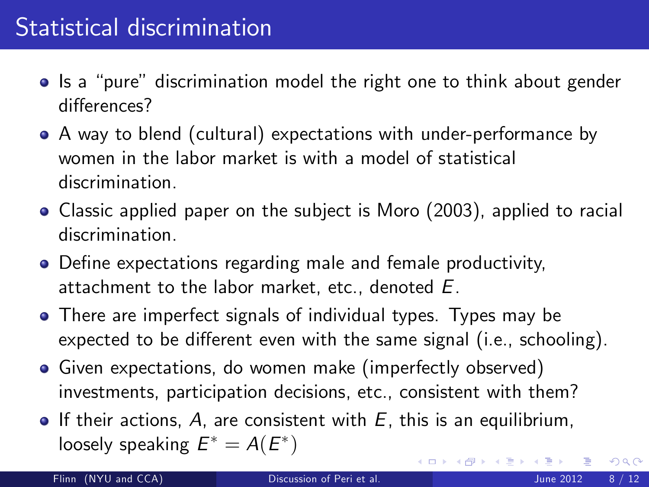# Statistical discrimination

- Is a "pure" discrimination model the right one to think about gender differences?
- A way to blend (cultural) expectations with under-performance by women in the labor market is with a model of statistical discrimination.
- Classic applied paper on the subject is Moro (2003), applied to racial discrimination.
- Define expectations regarding male and female productivity, attachment to the labor market, etc., denoted E.
- There are imperfect signals of individual types. Types may be expected to be different even with the same signal (i.e., schooling).
- Given expectations, do women make (imperfectly observed) investments, participation decisions, etc., consistent with them?
- $\bullet$  If their actions, A, are consistent with E, this is an equilibrium, loosely speaking  $E^*=A(E^*)$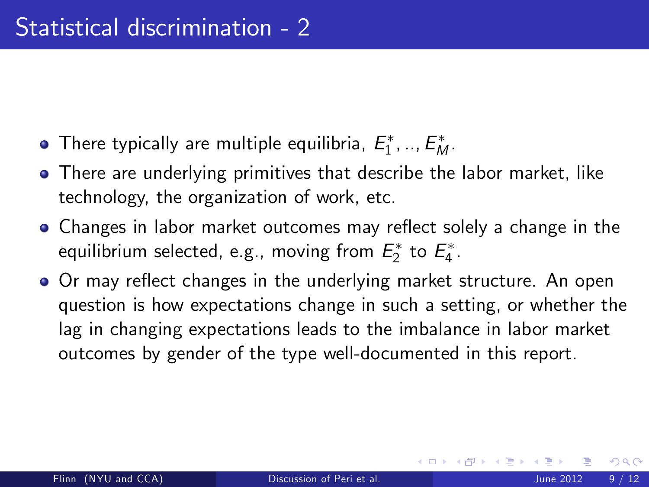- There typically are multiple equilibria,  $E_1^*,..,E_M^*.$
- There are underlying primitives that describe the labor market. like technology, the organization of work, etc.
- Changes in labor market outcomes may reflect solely a change in the equilibrium selected, e.g., moving from  $E_2^*$  to  $E_4^*.$
- Or may reflect changes in the underlying market structure. An open question is how expectations change in such a setting, or whether the lag in changing expectations leads to the imbalance in labor market outcomes by gender of the type well-documented in this report.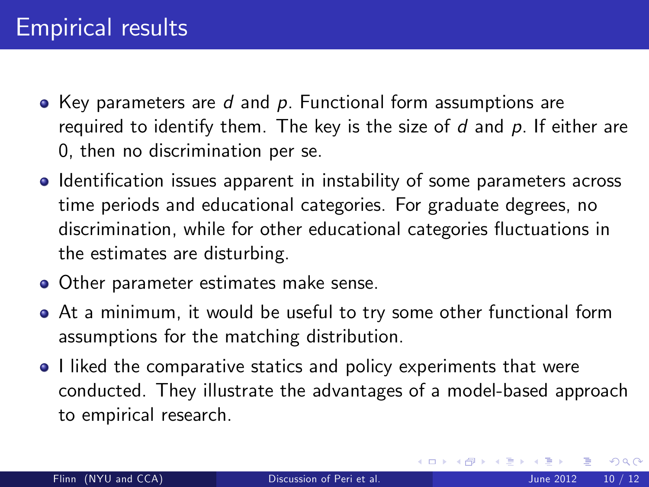- $\bullet$  Key parameters are d and p. Functional form assumptions are required to identify them. The key is the size of  $d$  and  $p$ . If either are 0, then no discrimination per se.
- Identification issues apparent in instability of some parameters across time periods and educational categories. For graduate degrees, no discrimination, while for other educational categories fluctuations in the estimates are disturbing.
- **Other parameter estimates make sense.**
- At a minimum, it would be useful to try some other functional form assumptions for the matching distribution.
- I liked the comparative statics and policy experiments that were conducted. They illustrate the advantages of a model-based approach to empirical research.

4 0 8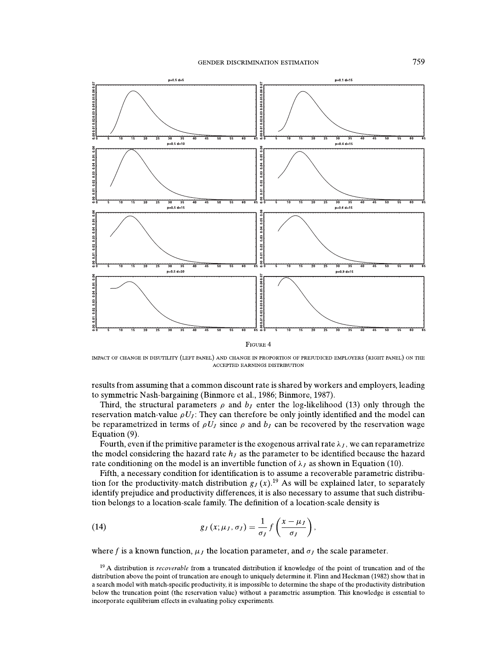

IMPACT OF CHANGE IN DISUTILITY (LEFT PANEL) AND CHANGE IN PROPORTION OF PREJUDICED EMPLOYERS (RIGHT PANEL) ON THE **ACCEPTED EARNINGS DISTRIBUTION** 

results from assuming that a common discount rate is shared by workers and employers, leading to symmetric Nash-bargaining (Binmore et al., 1986; Binmore, 1987).

Third, the structural parameters  $\rho$  and  $b<sub>I</sub>$  enter the log-likelihood (13) only through the reservation match-value  $\rho U_j$ : They can therefore be only jointly identified and the model can be reparametrized in terms of  $\rho U_l$  since  $\rho$  and  $b_l$  can be recovered by the reservation wage Equation (9).

Fourth, even if the primitive parameter is the exogenous arrival rate  $\lambda_J$ , we can reparametrize the model considering the hazard rate  $h<sub>J</sub>$  as the parameter to be identified because the hazard rate conditioning on the model is an invertible function of  $\lambda_J$  as shown in Equation (10).

Fifth, a necessary condition for identification is to assume a recoverable parametric distribution for the productivity-match distribution  $g_J(x)$ .<sup>19</sup> As will be explained later, to separately identify prejudice and productivity differences, it is also necessary to assume that such distribution belongs to a location-scale family. The definition of a location-scale density is

(14) 
$$
g_J(x; \mu_J, \sigma_J) = \frac{1}{\sigma_J} f\left(\frac{x - \mu_J}{\sigma_J}\right),
$$

where f is a known function,  $\mu_l$  the location parameter, and  $\sigma_l$  the scale parameter.

 $19$  A distribution is *recoverable* from a truncated distribution if knowledge of the point of truncation and of the distribution above the point of truncation are enough to uniquely determine it. Flinn and Heckman (1982) show that in a search model with match-specific productivity, it is impossible to determine the shape of the productivity distribution below the truncation point (the reservation value) without a parametric assumption. This knowledge is essential to incorporate equilibrium effects in evaluating policy experiments.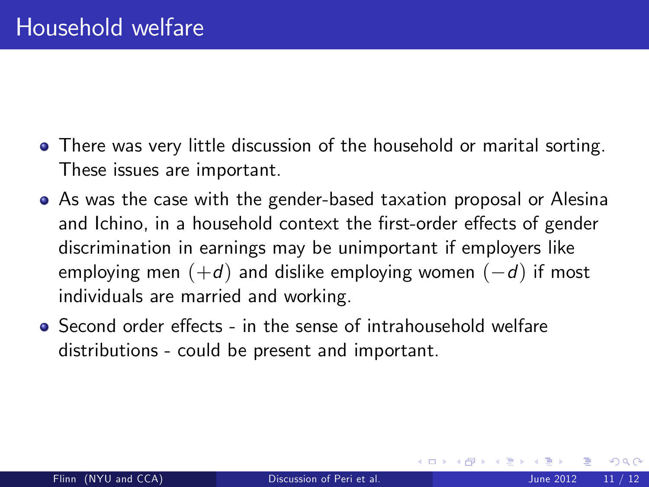- There was very little discussion of the household or marital sorting. These issues are important.
- As was the case with the gender-based taxation proposal or Alesina and Ichino, in a household context the first-order effects of gender discrimination in earnings may be unimportant if employers like employing men  $(+d)$  and dislike employing women  $(-d)$  if most individuals are married and working.
- $\bullet$  Second order effects in the sense of intrahousehold welfare distributions - could be present and important.